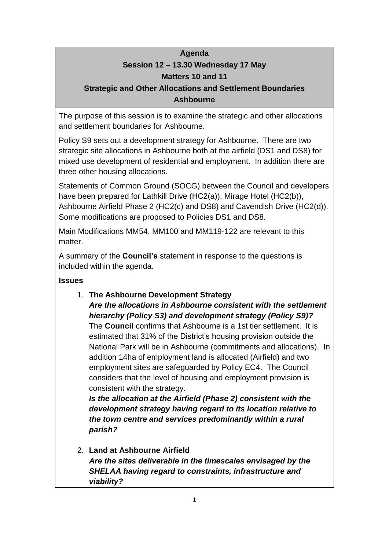# **Agenda Session 12 – 13.30 Wednesday 17 May Matters 10 and 11**

# **Strategic and Other Allocations and Settlement Boundaries Ashbourne**

The purpose of this session is to examine the strategic and other allocations and settlement boundaries for Ashbourne.

Policy S9 sets out a development strategy for Ashbourne. There are two strategic site allocations in Ashbourne both at the airfield (DS1 and DS8) for mixed use development of residential and employment. In addition there are three other housing allocations.

Statements of Common Ground (SOCG) between the Council and developers have been prepared for Lathkill Drive (HC2(a)), Mirage Hotel (HC2(b)), Ashbourne Airfield Phase 2 (HC2(c) and DS8) and Cavendish Drive (HC2(d)). Some modifications are proposed to Policies DS1 and DS8.

Main Modifications MM54, MM100 and MM119-122 are relevant to this matter.

A summary of the **Council's** statement in response to the questions is included within the agenda.

# **Issues**

# 1. **The Ashbourne Development Strategy** *Are the allocations in Ashbourne consistent with the settlement hierarchy (Policy S3) and development strategy (Policy S9)?* The **Council** confirms that Ashbourne is a 1st tier settlement. It is estimated that 31% of the District's housing provision outside the National Park will be in Ashbourne (commitments and allocations). In

addition 14ha of employment land is allocated (Airfield) and two employment sites are safeguarded by Policy EC4. The Council considers that the level of housing and employment provision is consistent with the strategy.

*Is the allocation at the Airfield (Phase 2) consistent with the development strategy having regard to its location relative to the town centre and services predominantly within a rural parish?*

2. **Land at Ashbourne Airfield** *Are the sites deliverable in the timescales envisaged by the SHELAA having regard to constraints, infrastructure and viability?*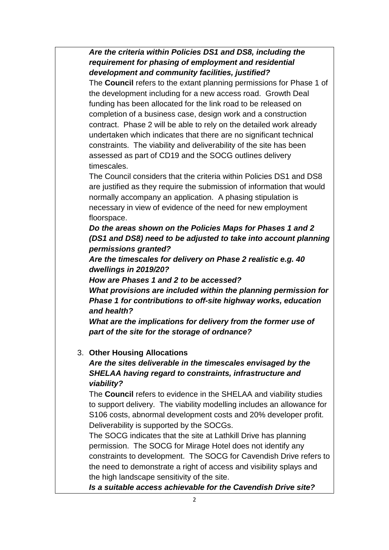*Are the criteria within Policies DS1 and DS8, including the requirement for phasing of employment and residential development and community facilities, justified?*

The **Council** refers to the extant planning permissions for Phase 1 of the development including for a new access road. Growth Deal funding has been allocated for the link road to be released on completion of a business case, design work and a construction contract. Phase 2 will be able to rely on the detailed work already undertaken which indicates that there are no significant technical constraints. The viability and deliverability of the site has been assessed as part of CD19 and the SOCG outlines delivery timescales.

The Council considers that the criteria within Policies DS1 and DS8 are justified as they require the submission of information that would normally accompany an application. A phasing stipulation is necessary in view of evidence of the need for new employment floorspace.

*Do the areas shown on the Policies Maps for Phases 1 and 2 (DS1 and DS8) need to be adjusted to take into account planning permissions granted?*

*Are the timescales for delivery on Phase 2 realistic e.g. 40 dwellings in 2019/20?*

*How are Phases 1 and 2 to be accessed?*

*What provisions are included within the planning permission for Phase 1 for contributions to off-site highway works, education and health?*

*What are the implications for delivery from the former use of part of the site for the storage of ordnance?*

#### 3. **Other Housing Allocations**

*Are the sites deliverable in the timescales envisaged by the SHELAA having regard to constraints, infrastructure and viability?*

The **Council** refers to evidence in the SHELAA and viability studies to support delivery. The viability modelling includes an allowance for S106 costs, abnormal development costs and 20% developer profit. Deliverability is supported by the SOCGs.

The SOCG indicates that the site at Lathkill Drive has planning permission. The SOCG for Mirage Hotel does not identify any constraints to development. The SOCG for Cavendish Drive refers to the need to demonstrate a right of access and visibility splays and the high landscape sensitivity of the site.

*Is a suitable access achievable for the Cavendish Drive site?*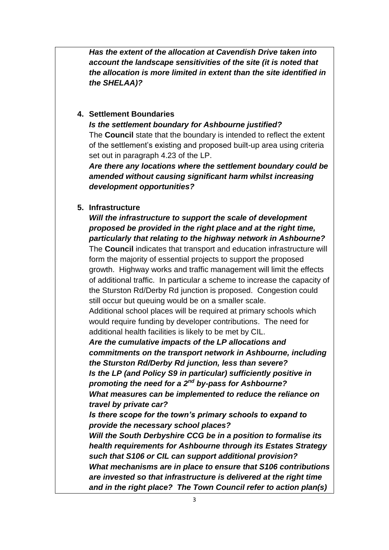*Has the extent of the allocation at Cavendish Drive taken into account the landscape sensitivities of the site (it is noted that the allocation is more limited in extent than the site identified in the SHELAA)?*

## **4. Settlement Boundaries**

*Is the settlement boundary for Ashbourne justified?*

The **Council** state that the boundary is intended to reflect the extent of the settlement's existing and proposed built-up area using criteria set out in paragraph 4.23 of the LP.

*Are there any locations where the settlement boundary could be amended without causing significant harm whilst increasing development opportunities?*

#### **5. Infrastructure**

*Will the infrastructure to support the scale of development proposed be provided in the right place and at the right time, particularly that relating to the highway network in Ashbourne?* The **Council** indicates that transport and education infrastructure will form the majority of essential projects to support the proposed growth. Highway works and traffic management will limit the effects of additional traffic. In particular a scheme to increase the capacity of the Sturston Rd/Derby Rd junction is proposed. Congestion could still occur but queuing would be on a smaller scale.

Additional school places will be required at primary schools which would require funding by developer contributions. The need for additional health facilities is likely to be met by CIL.

*Are the cumulative impacts of the LP allocations and commitments on the transport network in Ashbourne, including the Sturston Rd/Derby Rd junction, less than severe? Is the LP (and Policy S9 in particular) sufficiently positive in promoting the need for a 2nd by-pass for Ashbourne? What measures can be implemented to reduce the reliance on travel by private car?*

*Is there scope for the town's primary schools to expand to provide the necessary school places?*

*Will the South Derbyshire CCG be in a position to formalise its health requirements for Ashbourne through its Estates Strategy such that S106 or CIL can support additional provision? What mechanisms are in place to ensure that S106 contributions are invested so that infrastructure is delivered at the right time and in the right place? The Town Council refer to action plan(s)*